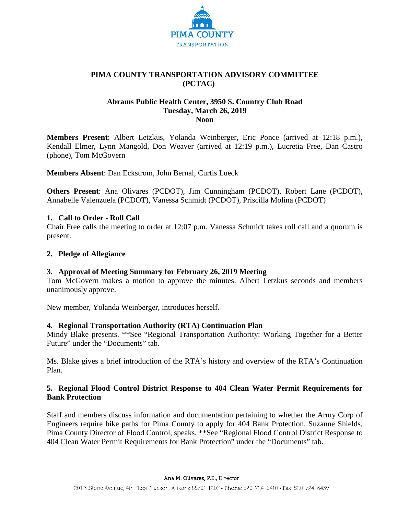

# **PIMA COUNTY TRANSPORTATION ADVISORY COMMITTEE (PCTAC)**

# **Abrams Public Health Center, 3950 S. Country Club Road Tuesday, March 26, 2019 Noon**

**Members Present**: Albert Letzkus, Yolanda Weinberger, Eric Ponce (arrived at 12:18 p.m.), Kendall Elmer, Lynn Mangold, Don Weaver (arrived at 12:19 p.m.), Lucretia Free, Dan Castro (phone), Tom McGovern

**Members Absent**: Dan Eckstrom, John Bernal, Curtis Lueck

**Others Present**: Ana Olivares (PCDOT), Jim Cunningham (PCDOT), Robert Lane (PCDOT), Annabelle Valenzuela (PCDOT), Vanessa Schmidt (PCDOT), Priscilla Molina (PCDOT)

# **1. Call to Order - Roll Call**

Chair Free calls the meeting to order at 12:07 p.m. Vanessa Schmidt takes roll call and a quorum is present.

## **2. Pledge of Allegiance**

## **3. Approval of Meeting Summary for February 26, 2019 Meeting**

Tom McGovern makes a motion to approve the minutes. Albert Letzkus seconds and members unanimously approve.

New member, Yolanda Weinberger, introduces herself.

# **4. Regional Transportation Authority (RTA) Continuation Plan**

Mindy Blake presents. \*\*See "Regional Transportation Authority: Working Together for a Better Future" under the "Documents" tab.

Ms. Blake gives a brief introduction of the RTA's history and overview of the RTA's Continuation Plan.

# **5. Regional Flood Control District Response to 404 Clean Water Permit Requirements for Bank Protection**

Staff and members discuss information and documentation pertaining to whether the Army Corp of Engineers require bike paths for Pima County to apply for 404 Bank Protection. Suzanne Shields, Pima County Director of Flood Control, speaks. \*\*See "Regional Flood Control District Response to 404 Clean Water Permit Requirements for Bank Protection" under the "Documents" tab.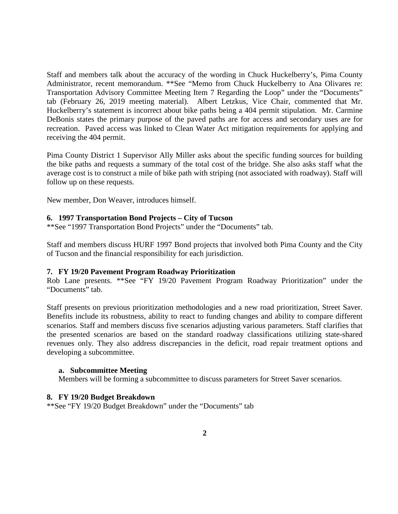Staff and members talk about the accuracy of the wording in Chuck Huckelberry's, Pima County Administrator, recent memorandum. \*\*See "Memo from Chuck Huckelberry to Ana Olivares re: Transportation Advisory Committee Meeting Item 7 Regarding the Loop" under the "Documents" tab (February 26, 2019 meeting material). Albert Letzkus, Vice Chair, commented that Mr. Huckelberry's statement is incorrect about bike paths being a 404 permit stipulation. Mr. Carmine DeBonis states the primary purpose of the paved paths are for access and secondary uses are for recreation. Paved access was linked to Clean Water Act mitigation requirements for applying and receiving the 404 permit.

Pima County District 1 Supervisor Ally Miller asks about the specific funding sources for building the bike paths and requests a summary of the total cost of the bridge. She also asks staff what the average cost is to construct a mile of bike path with striping (not associated with roadway). Staff will follow up on these requests.

New member, Don Weaver, introduces himself.

### **6. 1997 Transportation Bond Projects – City of Tucson**

\*\*See "1997 Transportation Bond Projects" under the "Documents" tab.

Staff and members discuss HURF 1997 Bond projects that involved both Pima County and the City of Tucson and the financial responsibility for each jurisdiction.

#### **7. FY 19/20 Pavement Program Roadway Prioritization**

Rob Lane presents. \*\*See "FY 19/20 Pavement Program Roadway Prioritization" under the "Documents" tab.

Staff presents on previous prioritization methodologies and a new road prioritization, Street Saver. Benefits include its robustness, ability to react to funding changes and ability to compare different scenarios. Staff and members discuss five scenarios adjusting various parameters. Staff clarifies that the presented scenarios are based on the standard roadway classifications utilizing state-shared revenues only. They also address discrepancies in the deficit, road repair treatment options and developing a subcommittee.

#### **a. Subcommittee Meeting**

Members will be forming a subcommittee to discuss parameters for Street Saver scenarios.

#### **8. FY 19/20 Budget Breakdown**

\*\*See "FY 19/20 Budget Breakdown" under the "Documents" tab